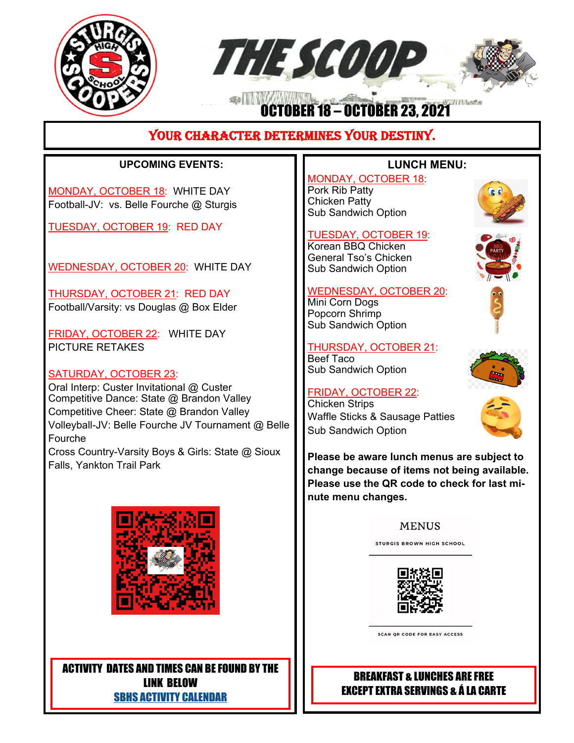



# 寒川川 OCTOBER 18 – OCTOBER 23, 2021

# YOUR CHARACTER DETERMINES YOUR DESTINY.

## **UPCOMING EVENTS:**

MONDAY, OCTOBER 18: WHITE DAY Football-JV: vs. Belle Fourche @ Sturgis

TUESDAY, OCTOBER 19: RED DAY

WEDNESDAY, OCTOBER 20: WHITE DAY

THURSDAY, OCTOBER 21: RED DAY Football/Varsity: vs Douglas @ Box Elder

FRIDAY, OCTOBER 22: WHITE DAY PICTURE RETAKES

#### SATURDAY, OCTOBER 23:

Oral Interp: Custer Invitational @ Custer Competitive Dance: State @ Brandon Valley Competitive Cheer: State @ Brandon Valley Volleyball-JV: Belle Fourche JV Tournament @ Belle Fourche Cross Country-Varsity Boys & Girls: State @ Sioux Falls, Yankton Trail Park



ACTIVITY DATES AND TIMES CAN BE FOUND BY THE LINK BELOW SBHS ACTIVITY CALENDAR

### **LUNCH MENU:**

MONDAY, OCTOBER 18: Pork Rib Patty Chicken Patty Sub Sandwich Option

#### TUESDAY, OCTOBER 19:

Korean BBQ Chicken General Tso's Chicken Sub Sandwich Option

#### WEDNESDAY, OCTOBER 20:

Mini Corn Dogs Popcorn Shrimp Sub Sandwich Option

# THURSDAY, OCTOBER 21:

Beef Taco Sub Sandwich Option

#### FRIDAY, OCTOBER 22:

Chicken Strips Waffle Sticks & Sausage Patties Sub Sandwich Option







**Please be aware lunch menus are subject to change because of items not being available. Please use the QR code to check for last minute menu changes.**

#### **MENUS**

**STURGIS BROWN HIGH SCHOOL** 



SCAN QR CODE FOR EASY ACCESS

## BREAKFAST & LUNCHES ARE FREE EXCEPT EXTRA SERVINGS & Á LA CARTE